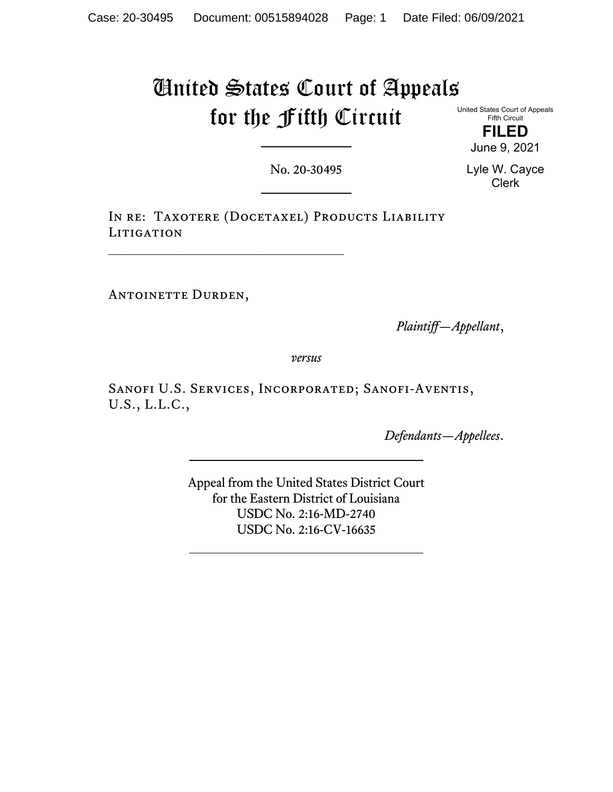# United States Court of Appeals for the Fifth Circuit

United States Court of Appeals Fifth Circuit

> **FILED** June 9, 2021

No. 20-30495

Lyle W. Cayce Clerk

IN RE: TAXOTERE (DOCETAXEL) PRODUCTS LIABILITY LITIGATION

ANTOINETTE DURDEN,

*Plaintiff—Appellant*,

*versus*

Sanofi U.S. Services, Incorporated; Sanofi-Aventis, U.S., L.L.C.,

*Defendants—Appellees*.

Appeal from the United States District Court for the Eastern District of Louisiana USDC No. 2:16-MD-2740 USDC No. 2:16-CV-16635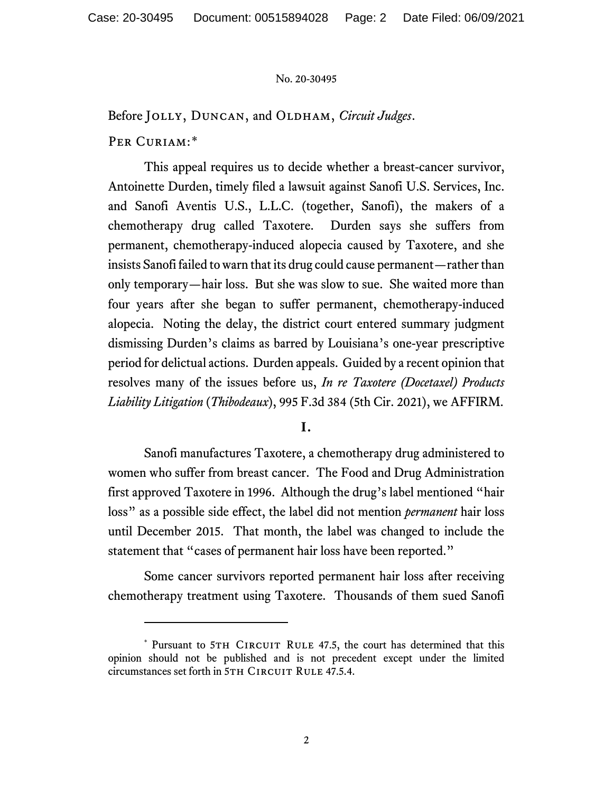Before JOLLY, DUNCAN, and OLDHAM, *Circuit Judges*.

PER CURIAM:[\\*](#page-1-0)

This appeal requires us to decide whether a breast-cancer survivor, Antoinette Durden, timely filed a lawsuit against Sanofi U.S. Services, Inc. and Sanofi Aventis U.S., L.L.C. (together, Sanofi), the makers of a chemotherapy drug called Taxotere. Durden says she suffers from permanent, chemotherapy-induced alopecia caused by Taxotere, and she insists Sanofi failed to warn that its drug could cause permanent—rather than only temporary—hair loss. But she was slow to sue. She waited more than four years after she began to suffer permanent, chemotherapy-induced alopecia. Noting the delay, the district court entered summary judgment dismissing Durden's claims as barred by Louisiana's one-year prescriptive period for delictual actions. Durden appeals. Guided by a recent opinion that resolves many of the issues before us, *In re Taxotere (Docetaxel) Products Liability Litigation* (*Thibodeaux*), 995 F.3d 384 (5th Cir. 2021), we AFFIRM.

## **I.**

Sanofi manufactures Taxotere, a chemotherapy drug administered to women who suffer from breast cancer. The Food and Drug Administration first approved Taxotere in 1996. Although the drug's label mentioned "hair loss" as a possible side effect, the label did not mention *permanent* hair loss until December 2015. That month, the label was changed to include the statement that "cases of permanent hair loss have been reported."

Some cancer survivors reported permanent hair loss after receiving chemotherapy treatment using Taxotere. Thousands of them sued Sanofi

<span id="page-1-0"></span><sup>\*</sup> Pursuant to 5TH CIRCUIT RULE 47.5, the court has determined that this opinion should not be published and is not precedent except under the limited circumstances set forth in 5TH CIRCUIT RULE 47.5.4.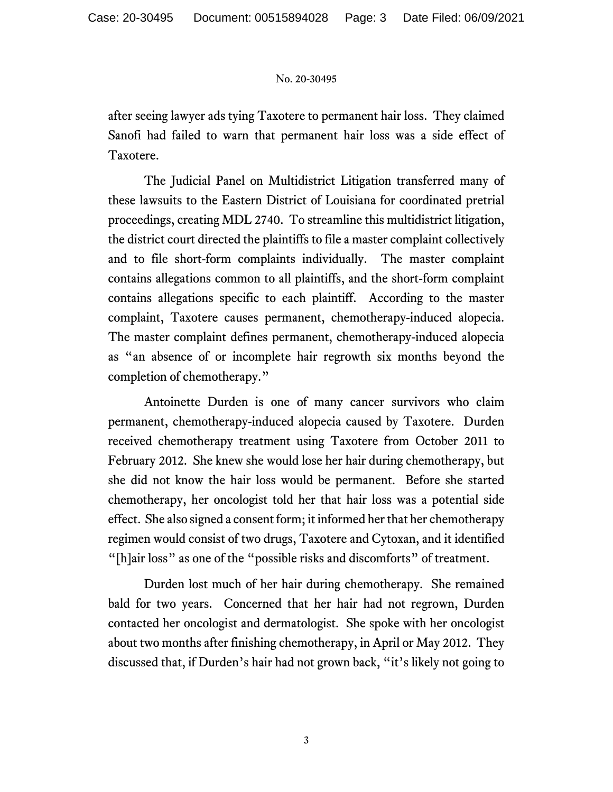after seeing lawyer ads tying Taxotere to permanent hair loss. They claimed Sanofi had failed to warn that permanent hair loss was a side effect of Taxotere.

The Judicial Panel on Multidistrict Litigation transferred many of these lawsuits to the Eastern District of Louisiana for coordinated pretrial proceedings, creating MDL 2740. To streamline this multidistrict litigation, the district court directed the plaintiffs to file a master complaint collectively and to file short-form complaints individually. The master complaint contains allegations common to all plaintiffs, and the short-form complaint contains allegations specific to each plaintiff. According to the master complaint, Taxotere causes permanent, chemotherapy-induced alopecia. The master complaint defines permanent, chemotherapy-induced alopecia as "an absence of or incomplete hair regrowth six months beyond the completion of chemotherapy."

Antoinette Durden is one of many cancer survivors who claim permanent, chemotherapy-induced alopecia caused by Taxotere. Durden received chemotherapy treatment using Taxotere from October 2011 to February 2012. She knew she would lose her hair during chemotherapy, but she did not know the hair loss would be permanent. Before she started chemotherapy, her oncologist told her that hair loss was a potential side effect. She also signed a consent form; it informed her that her chemotherapy regimen would consist of two drugs, Taxotere and Cytoxan, and it identified "[h]air loss" as one of the "possible risks and discomforts" of treatment.

Durden lost much of her hair during chemotherapy. She remained bald for two years. Concerned that her hair had not regrown, Durden contacted her oncologist and dermatologist. She spoke with her oncologist about two months after finishing chemotherapy, in April or May 2012. They discussed that, if Durden's hair had not grown back, "it's likely not going to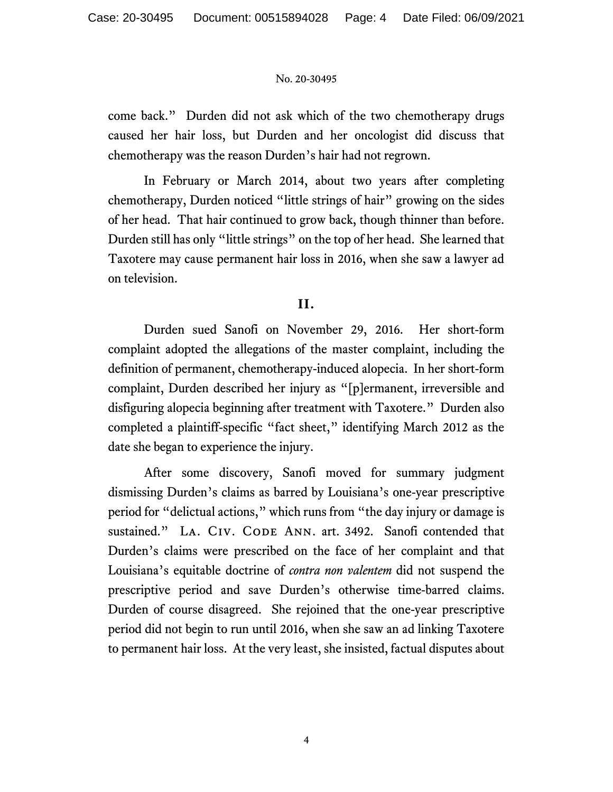come back." Durden did not ask which of the two chemotherapy drugs caused her hair loss, but Durden and her oncologist did discuss that chemotherapy was the reason Durden's hair had not regrown.

In February or March 2014, about two years after completing chemotherapy, Durden noticed "little strings of hair" growing on the sides of her head. That hair continued to grow back, though thinner than before. Durden still has only "little strings" on the top of her head. She learned that Taxotere may cause permanent hair loss in 2016, when she saw a lawyer ad on television.

# **II.**

Durden sued Sanofi on November 29, 2016. Her short-form complaint adopted the allegations of the master complaint, including the definition of permanent, chemotherapy-induced alopecia. In her short-form complaint, Durden described her injury as "[p]ermanent, irreversible and disfiguring alopecia beginning after treatment with Taxotere." Durden also completed a plaintiff-specific "fact sheet," identifying March 2012 as the date she began to experience the injury.

After some discovery, Sanofi moved for summary judgment dismissing Durden's claims as barred by Louisiana's one-year prescriptive period for "delictual actions," which runs from "the day injury or damage is sustained." LA. CIV. CODE ANN. art. 3492. Sanofi contended that Durden's claims were prescribed on the face of her complaint and that Louisiana's equitable doctrine of *contra non valentem* did not suspend the prescriptive period and save Durden's otherwise time-barred claims. Durden of course disagreed. She rejoined that the one-year prescriptive period did not begin to run until 2016, when she saw an ad linking Taxotere to permanent hair loss. At the very least, she insisted, factual disputes about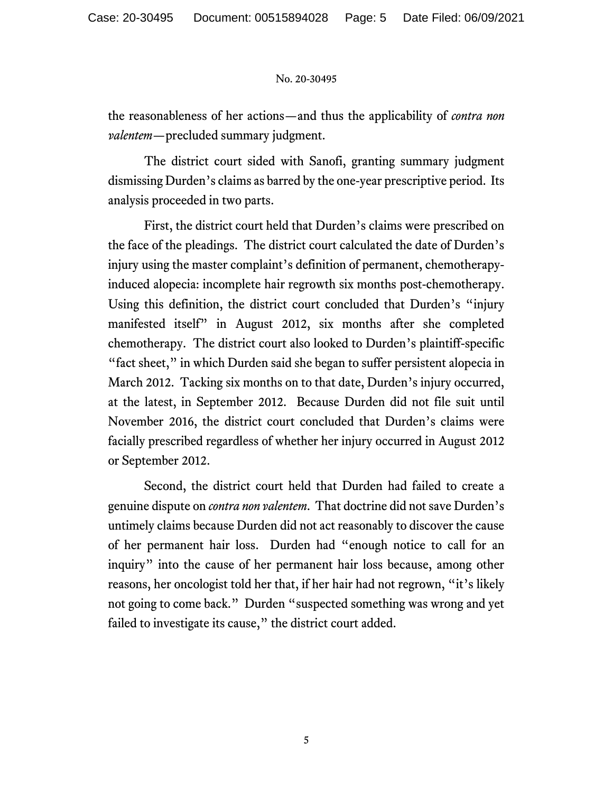the reasonableness of her actions—and thus the applicability of *contra non valentem*—precluded summary judgment.

The district court sided with Sanofi, granting summary judgment dismissing Durden's claims as barred by the one-year prescriptive period. Its analysis proceeded in two parts.

First, the district court held that Durden's claims were prescribed on the face of the pleadings. The district court calculated the date of Durden's injury using the master complaint's definition of permanent, chemotherapyinduced alopecia: incomplete hair regrowth six months post-chemotherapy. Using this definition, the district court concluded that Durden's "injury manifested itself" in August 2012, six months after she completed chemotherapy. The district court also looked to Durden's plaintiff-specific "fact sheet," in which Durden said she began to suffer persistent alopecia in March 2012. Tacking six months on to that date, Durden's injury occurred, at the latest, in September 2012. Because Durden did not file suit until November 2016, the district court concluded that Durden's claims were facially prescribed regardless of whether her injury occurred in August 2012 or September 2012.

Second, the district court held that Durden had failed to create a genuine dispute on *contra non valentem*. That doctrine did not save Durden's untimely claims because Durden did not act reasonably to discover the cause of her permanent hair loss. Durden had "enough notice to call for an inquiry" into the cause of her permanent hair loss because, among other reasons, her oncologist told her that, if her hair had not regrown, "it's likely not going to come back." Durden "suspected something was wrong and yet failed to investigate its cause," the district court added.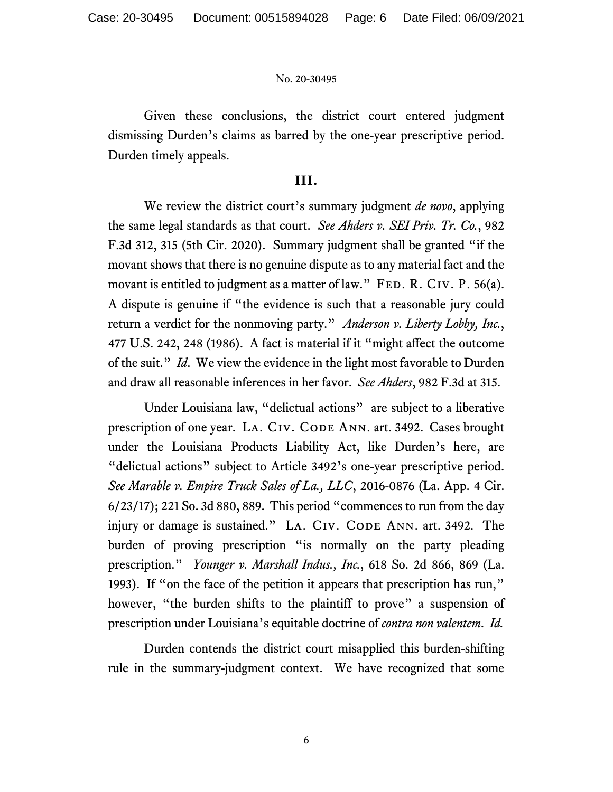Given these conclusions, the district court entered judgment dismissing Durden's claims as barred by the one-year prescriptive period. Durden timely appeals.

## **III.**

We review the district court's summary judgment *de novo*, applying the same legal standards as that court. *See Ahders v. SEI Priv. Tr. Co.*, 982 F.3d 312, 315 (5th Cir. 2020). Summary judgment shall be granted "if the movant shows that there is no genuine dispute as to any material fact and the movant is entitled to judgment as a matter of law."  $FED. R. CIV. P. 56(a)$ . A dispute is genuine if "the evidence is such that a reasonable jury could return a verdict for the nonmoving party." *Anderson v. Liberty Lobby, Inc.*, 477 U.S. 242, 248 (1986). A fact is material if it "might affect the outcome of the suit." *Id*. We view the evidence in the light most favorable to Durden and draw all reasonable inferences in her favor. *See Ahders*, 982 F.3d at 315.

Under Louisiana law, "delictual actions" are subject to a liberative prescription of one year. LA. CIV. CODE ANN. art. 3492. Cases brought under the Louisiana Products Liability Act, like Durden's here, are "delictual actions" subject to Article 3492's one-year prescriptive period. *See Marable v. Empire Truck Sales of La., LLC*, 2016-0876 (La. App. 4 Cir. 6/23/17); 221 So. 3d 880, 889. This period "commences to run from the day injury or damage is sustained." LA. CIV. CODE ANN. art. 3492. The burden of proving prescription "is normally on the party pleading prescription." *Younger v. Marshall Indus., Inc.*, 618 So. 2d 866, 869 (La. 1993). If "on the face of the petition it appears that prescription has run," however, "the burden shifts to the plaintiff to prove" a suspension of prescription under Louisiana's equitable doctrine of *contra non valentem*. *Id.* 

Durden contends the district court misapplied this burden-shifting rule in the summary-judgment context. We have recognized that some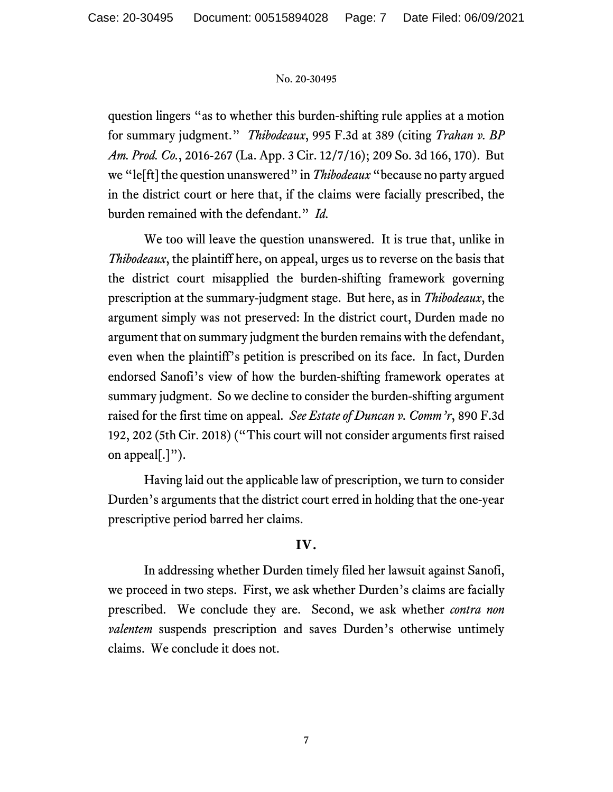question lingers "as to whether this burden-shifting rule applies at a motion for summary judgment." *Thibodeaux*, 995 F.3d at 389 (citing *Trahan v. BP Am. Prod. Co.*, 2016-267 (La. App. 3 Cir. 12/7/16); 209 So. 3d 166, 170). But we "le[ft] the question unanswered" in *Thibodeaux* "because no party argued in the district court or here that, if the claims were facially prescribed, the burden remained with the defendant." *Id.* 

We too will leave the question unanswered. It is true that, unlike in *Thibodeaux*, the plaintiff here, on appeal, urges us to reverse on the basis that the district court misapplied the burden-shifting framework governing prescription at the summary-judgment stage. But here, as in *Thibodeaux*, the argument simply was not preserved: In the district court, Durden made no argument that on summary judgment the burden remains with the defendant, even when the plaintiff's petition is prescribed on its face. In fact, Durden endorsed Sanofi's view of how the burden-shifting framework operates at summary judgment. So we decline to consider the burden-shifting argument raised for the first time on appeal. *See Estate of Duncan v. Comm'r*, 890 F.3d 192, 202 (5th Cir. 2018) ("This court will not consider arguments first raised on appeal[.]").

Having laid out the applicable law of prescription, we turn to consider Durden's arguments that the district court erred in holding that the one-year prescriptive period barred her claims.

# **IV.**

In addressing whether Durden timely filed her lawsuit against Sanofi, we proceed in two steps. First, we ask whether Durden's claims are facially prescribed. We conclude they are. Second, we ask whether *contra non valentem* suspends prescription and saves Durden's otherwise untimely claims. We conclude it does not.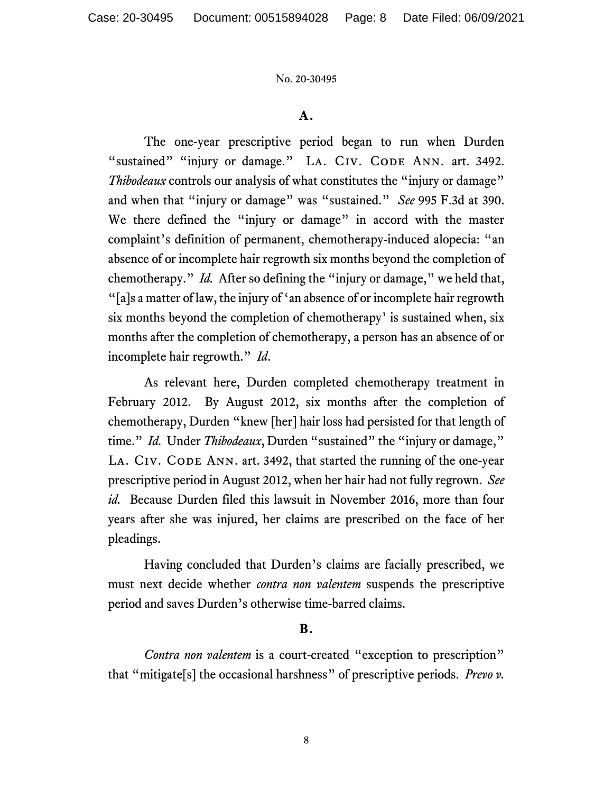## **A.**

The one-year prescriptive period began to run when Durden "sustained" "injury or damage." LA. CIV. CODE ANN. art. 3492. *Thibodeaux* controls our analysis of what constitutes the "injury or damage" and when that "injury or damage" was "sustained." *See* 995 F.3d at 390. We there defined the "injury or damage" in accord with the master complaint's definition of permanent, chemotherapy-induced alopecia: "an absence of or incomplete hair regrowth six months beyond the completion of chemotherapy." *Id.* After so defining the "injury or damage," we held that, "[a]s a matter of law, the injury of 'an absence of or incomplete hair regrowth six months beyond the completion of chemotherapy' is sustained when, six months after the completion of chemotherapy, a person has an absence of or incomplete hair regrowth." *Id*.

As relevant here, Durden completed chemotherapy treatment in February 2012. By August 2012, six months after the completion of chemotherapy, Durden "knew [her] hair loss had persisted for that length of time." *Id.* Under *Thibodeaux*, Durden "sustained" the "injury or damage," LA. CIV. CODE ANN. art. 3492, that started the running of the one-year prescriptive period in August 2012, when her hair had not fully regrown. *See id.* Because Durden filed this lawsuit in November 2016, more than four years after she was injured, her claims are prescribed on the face of her pleadings.

Having concluded that Durden's claims are facially prescribed, we must next decide whether *contra non valentem* suspends the prescriptive period and saves Durden's otherwise time-barred claims.

## **B.**

*Contra non valentem* is a court-created "exception to prescription" that "mitigate[s] the occasional harshness" of prescriptive periods. *Prevo v.*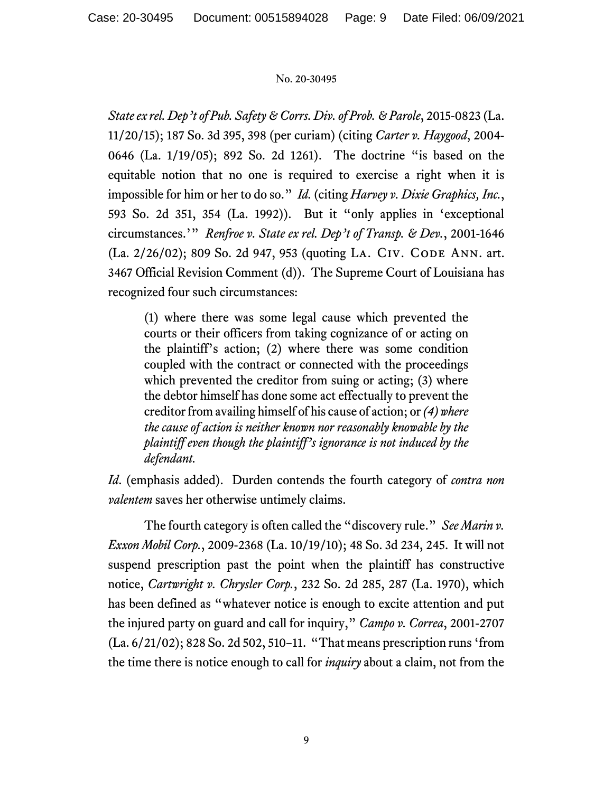*State ex rel. Dep't of Pub. Safety & Corrs. Div. of Prob. & Parole*, 2015-0823 (La. 11/20/15); 187 So. 3d 395, 398 (per curiam) (citing *Carter v. Haygood*, 2004- 0646 (La. 1/19/05); 892 So. 2d 1261). The doctrine "is based on the equitable notion that no one is required to exercise a right when it is impossible for him or her to do so." *Id.* (citing *Harvey v. Dixie Graphics, Inc.*, 593 So. 2d 351, 354 (La. 1992)). But it "only applies in 'exceptional circumstances.'" *Renfroe v. State ex rel. Dep't of Transp. & Dev.*, 2001-1646 (La. 2/26/02); 809 So. 2d 947, 953 (quoting LA. CIV. CODE ANN. art. 3467 Official Revision Comment (d)). The Supreme Court of Louisiana has recognized four such circumstances:

(1) where there was some legal cause which prevented the courts or their officers from taking cognizance of or acting on the plaintiff's action; (2) where there was some condition coupled with the contract or connected with the proceedings which prevented the creditor from suing or acting; (3) where the debtor himself has done some act effectually to prevent the creditor from availing himself of his cause of action; or *(4) where the cause of action is neither known nor reasonably knowable by the plaintiff even though the plaintiff's ignorance is not induced by the defendant.* 

*Id*. (emphasis added). Durden contends the fourth category of *contra non valentem* saves her otherwise untimely claims.

The fourth category is often called the "discovery rule." *See Marin v. Exxon Mobil Corp.*, 2009-2368 (La. 10/19/10); 48 So. 3d 234, 245. It will not suspend prescription past the point when the plaintiff has constructive notice, *Cartwright v. Chrysler Corp.*, 232 So. 2d 285, 287 (La. 1970), which has been defined as "whatever notice is enough to excite attention and put the injured party on guard and call for inquiry," *Campo v. Correa*, 2001-2707 (La. 6/21/02); 828 So. 2d 502, 510–11. "That means prescription runs 'from the time there is notice enough to call for *inquiry* about a claim, not from the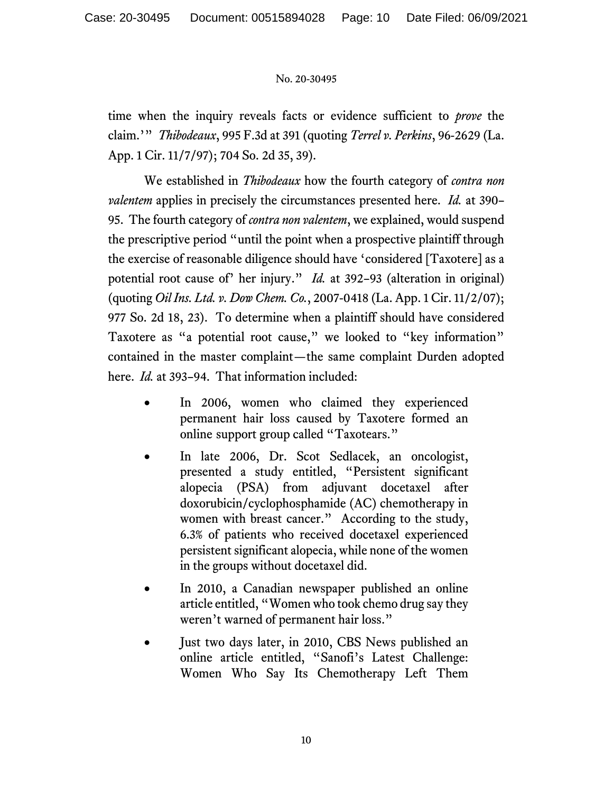time when the inquiry reveals facts or evidence sufficient to *prove* the claim.'" *Thibodeaux*, 995 F.3d at 391 (quoting *Terrel v. Perkins*, 96-2629 (La. App. 1 Cir. 11/7/97); 704 So. 2d 35, 39).

We established in *Thibodeaux* how the fourth category of *contra non valentem* applies in precisely the circumstances presented here. *Id.* at 390– 95. The fourth category of *contra non valentem*, we explained, would suspend the prescriptive period "until the point when a prospective plaintiff through the exercise of reasonable diligence should have 'considered [Taxotere] as a potential root cause of' her injury." *Id.* at 392–93 (alteration in original) (quoting *Oil Ins. Ltd. v. Dow Chem. Co.*, 2007-0418 (La. App. 1 Cir. 11/2/07); 977 So. 2d 18, 23). To determine when a plaintiff should have considered Taxotere as "a potential root cause," we looked to "key information" contained in the master complaint—the same complaint Durden adopted here. *Id.* at 393–94. That information included:

- In 2006, women who claimed they experienced permanent hair loss caused by Taxotere formed an online support group called "Taxotears."
- In late 2006, Dr. Scot Sedlacek, an oncologist, presented a study entitled, "Persistent significant alopecia (PSA) from adjuvant docetaxel after doxorubicin/cyclophosphamide (AC) chemotherapy in women with breast cancer." According to the study, 6.3% of patients who received docetaxel experienced persistent significant alopecia, while none of the women in the groups without docetaxel did.
- In 2010, a Canadian newspaper published an online article entitled, "Women who took chemo drug say they weren't warned of permanent hair loss."
- Just two days later, in 2010, CBS News published an online article entitled, "Sanofi's Latest Challenge: Women Who Say Its Chemotherapy Left Them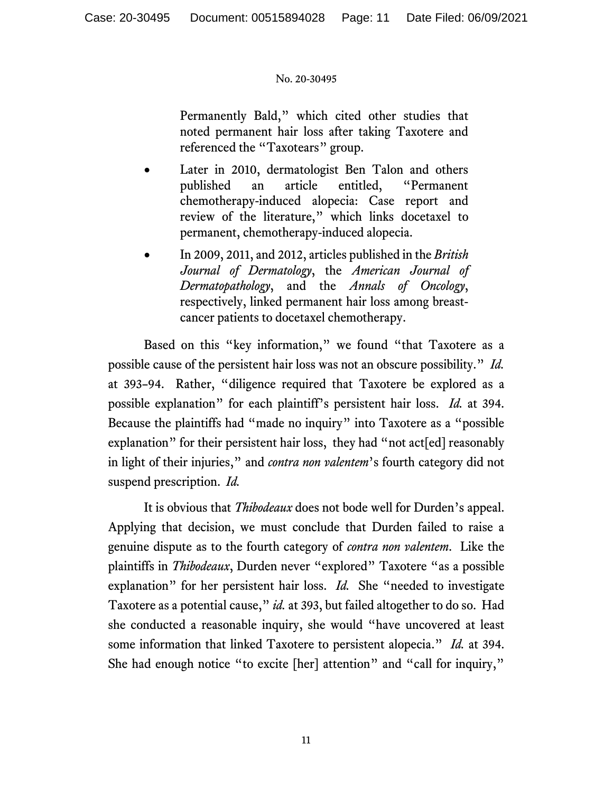Permanently Bald," which cited other studies that noted permanent hair loss after taking Taxotere and referenced the "Taxotears" group.

- Later in 2010, dermatologist Ben Talon and others published an article entitled, "Permanent chemotherapy-induced alopecia: Case report and review of the literature," which links docetaxel to permanent, chemotherapy-induced alopecia.
- In 2009, 2011, and 2012, articles published in the *British Journal of Dermatology*, the *American Journal of Dermatopathology*, and the *Annals of Oncology*, respectively, linked permanent hair loss among breastcancer patients to docetaxel chemotherapy.

Based on this "key information," we found "that Taxotere as a possible cause of the persistent hair loss was not an obscure possibility." *Id.*  at 393–94.Rather, "diligence required that Taxotere be explored as a possible explanation" for each plaintiff's persistent hair loss. *Id.* at 394. Because the plaintiffs had "made no inquiry" into Taxotere as a "possible explanation" for their persistent hair loss, they had "not act[ed] reasonably in light of their injuries," and *contra non valentem*'s fourth category did not suspend prescription. *Id.* 

It is obvious that *Thibodeaux* does not bode well for Durden's appeal. Applying that decision, we must conclude that Durden failed to raise a genuine dispute as to the fourth category of *contra non valentem*. Like the plaintiffs in *Thibodeaux*, Durden never "explored" Taxotere "as a possible explanation" for her persistent hair loss. *Id.* She "needed to investigate Taxotere as a potential cause," *id.* at 393, but failed altogether to do so. Had she conducted a reasonable inquiry, she would "have uncovered at least some information that linked Taxotere to persistent alopecia." *Id.* at 394. She had enough notice "to excite [her] attention" and "call for inquiry,"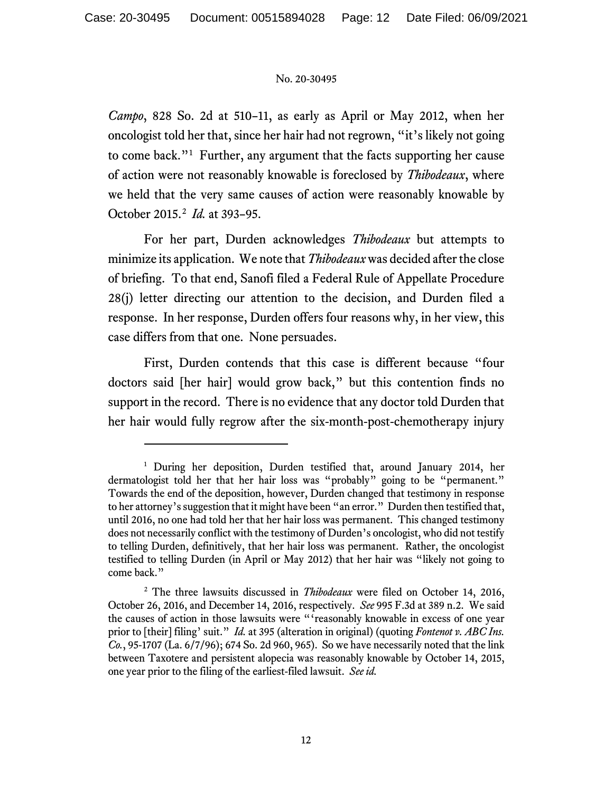*Campo*, 828 So. 2d at 510–11, as early as April or May 2012, when her oncologist told her that, since her hair had not regrown, "it's likely not going to come back."[1](#page-11-0) Further, any argument that the facts supporting her cause of action were not reasonably knowable is foreclosed by *Thibodeaux*, where we held that the very same causes of action were reasonably knowable by October 2015.[2](#page-11-1) *Id.* at 393–95.

For her part, Durden acknowledges *Thibodeaux* but attempts to minimize its application. We note that *Thibodeaux*was decided after the close of briefing. To that end, Sanofi filed a Federal Rule of Appellate Procedure 28(j) letter directing our attention to the decision, and Durden filed a response. In her response, Durden offers four reasons why, in her view, this case differs from that one. None persuades.

First, Durden contends that this case is different because "four doctors said [her hair] would grow back," but this contention finds no support in the record. There is no evidence that any doctor told Durden that her hair would fully regrow after the six-month-post-chemotherapy injury

<span id="page-11-0"></span><sup>&</sup>lt;sup>1</sup> During her deposition, Durden testified that, around January 2014, her dermatologist told her that her hair loss was "probably" going to be "permanent." Towards the end of the deposition, however, Durden changed that testimony in response to her attorney's suggestion that it might have been "an error." Durden then testified that, until 2016, no one had told her that her hair loss was permanent. This changed testimony does not necessarily conflict with the testimony of Durden's oncologist, who did not testify to telling Durden, definitively, that her hair loss was permanent. Rather, the oncologist testified to telling Durden (in April or May 2012) that her hair was "likely not going to come back."

<span id="page-11-1"></span><sup>2</sup> The three lawsuits discussed in *Thibodeaux* were filed on October 14, 2016, October 26, 2016, and December 14, 2016, respectively. *See* 995 F.3d at 389 n.2. We said the causes of action in those lawsuits were "'reasonably knowable in excess of one year prior to [their] filing' suit." *Id.* at 395 (alteration in original) (quoting *Fontenot v. ABC Ins. Co.*, 95-1707 (La. 6/7/96); 674 So. 2d 960, 965). So we have necessarily noted that the link between Taxotere and persistent alopecia was reasonably knowable by October 14, 2015, one year prior to the filing of the earliest-filed lawsuit. *See id.*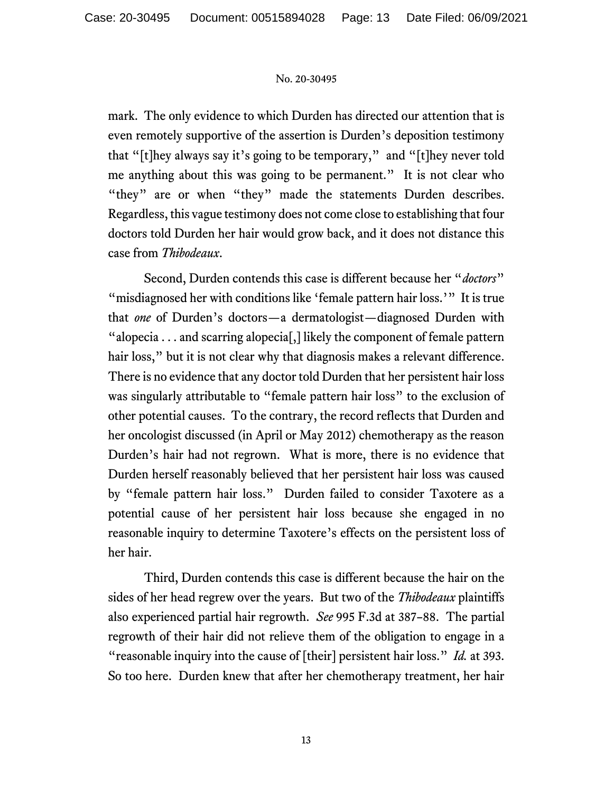mark. The only evidence to which Durden has directed our attention that is even remotely supportive of the assertion is Durden's deposition testimony that "[t]hey always say it's going to be temporary," and "[t]hey never told me anything about this was going to be permanent." It is not clear who "they" are or when "they" made the statements Durden describes. Regardless, this vague testimony does not come close to establishing that four doctors told Durden her hair would grow back, and it does not distance this case from *Thibodeaux*.

Second, Durden contends this case is different because her "*doctors*" "misdiagnosed her with conditions like 'female pattern hair loss.'" It is true that *one* of Durden's doctors—a dermatologist—diagnosed Durden with "alopecia  $\dots$  and scarring alopecial, likely the component of female pattern hair loss," but it is not clear why that diagnosis makes a relevant difference. There is no evidence that any doctor told Durden that her persistent hair loss was singularly attributable to "female pattern hair loss" to the exclusion of other potential causes. To the contrary, the record reflects that Durden and her oncologist discussed (in April or May 2012) chemotherapy as the reason Durden's hair had not regrown. What is more, there is no evidence that Durden herself reasonably believed that her persistent hair loss was caused by "female pattern hair loss." Durden failed to consider Taxotere as a potential cause of her persistent hair loss because she engaged in no reasonable inquiry to determine Taxotere's effects on the persistent loss of her hair.

Third, Durden contends this case is different because the hair on the sides of her head regrew over the years. But two of the *Thibodeaux* plaintiffs also experienced partial hair regrowth. *See* 995 F.3d at 387–88. The partial regrowth of their hair did not relieve them of the obligation to engage in a "reasonable inquiry into the cause of [their] persistent hair loss." *Id.* at 393. So too here. Durden knew that after her chemotherapy treatment, her hair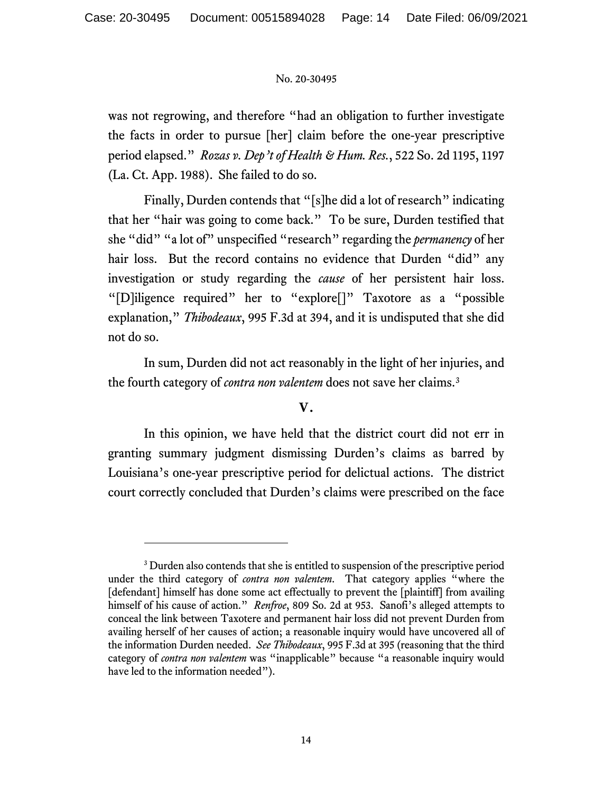was not regrowing, and therefore "had an obligation to further investigate the facts in order to pursue [her] claim before the one-year prescriptive period elapsed." *Rozas v. Dep't of Health & Hum. Res.*, 522 So. 2d 1195, 1197 (La. Ct. App. 1988). She failed to do so.

Finally, Durden contends that "[s]he did a lot of research" indicating that her "hair was going to come back." To be sure, Durden testified that she "did" "a lot of" unspecified "research" regarding the *permanency* of her hair loss. But the record contains no evidence that Durden "did" any investigation or study regarding the *cause* of her persistent hair loss. "[D]iligence required" her to "explore[]" Taxotore as a "possible explanation," *Thibodeaux*, 995 F.3d at 394, and it is undisputed that she did not do so.

In sum, Durden did not act reasonably in the light of her injuries, and the fourth category of *contra non valentem* does not save her claims.[3](#page-13-0)

# **V.**

In this opinion, we have held that the district court did not err in granting summary judgment dismissing Durden's claims as barred by Louisiana's one-year prescriptive period for delictual actions. The district court correctly concluded that Durden's claims were prescribed on the face

<span id="page-13-0"></span><sup>&</sup>lt;sup>3</sup> Durden also contends that she is entitled to suspension of the prescriptive period under the third category of *contra non valentem*. That category applies "where the [defendant] himself has done some act effectually to prevent the [plaintiff] from availing himself of his cause of action." *Renfroe*, 809 So. 2d at 953. Sanofi's alleged attempts to conceal the link between Taxotere and permanent hair loss did not prevent Durden from availing herself of her causes of action; a reasonable inquiry would have uncovered all of the information Durden needed. *See Thibodeaux*, 995 F.3d at 395 (reasoning that the third category of *contra non valentem* was "inapplicable" because "a reasonable inquiry would have led to the information needed").